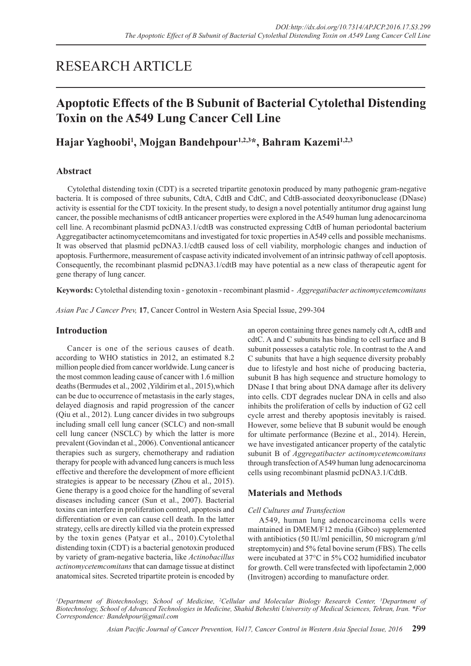# RESEARCH ARTICLE

## **Apoptotic Effects of the B Subunit of Bacterial Cytolethal Distending Toxin on the A549 Lung Cancer Cell Line**

## **Hajar Yaghoobi1 , Mojgan Bandehpour1,2,3\*, Bahram Kazemi1,2,3**

## **Abstract**

Cytolethal distending toxin (CDT) is a secreted tripartite genotoxin produced by many pathogenic gram-negative bacteria. It is composed of three subunits, CdtA, CdtB and CdtC, and CdtB-associated deoxyribonuclease (DNase) activity is essential for the CDT toxicity. In the present study, to design a novel potentially antitumor drug against lung cancer, the possible mechanisms of cdtB anticancer properties were explored in the A549 human lung adenocarcinoma cell line. A recombinant plasmid pcDNA3.1/cdtB was constructed expressing CdtB of human periodontal bacterium Aggregatibacter actinomycetemcomitans and investigated for toxic properties in A549 cells and possible mechanisms. It was observed that plasmid pcDNA3.1/cdtB caused loss of cell viability, morphologic changes and induction of apoptosis. Furthermore, measurement of caspase activity indicated involvement of an intrinsic pathway of cell apoptosis. Consequently, the recombinant plasmid pcDNA3.1/cdtB may have potential as a new class of therapeutic agent for gene therapy of lung cancer.

**Keywords:** Cytolethal distending toxin - genotoxin - recombinant plasmid - *Aggregatibacter actinomycetemcomitans*

*Asian Pac J Cancer Prev,* **17**, Cancer Control in Western Asia Special Issue, 299-304

## **Introduction**

Cancer is one of the serious causes of death. according to WHO statistics in 2012, an estimated 8.2 million people died from cancer worldwide. Lung cancer is the most common leading cause of cancer with 1.6 million deaths (Bermudes et al., 2002 ,Yildirim et al., 2015),which can be due to occurrence of metastasis in the early stages, delayed diagnosis and rapid progression of the cancer (Qiu et al., 2012). Lung cancer divides in two subgroups including small cell lung cancer (SCLC) and non-small cell lung cancer (NSCLC) by which the latter is more prevalent (Govindan et al., 2006). Conventional anticancer therapies such as surgery, chemotherapy and radiation therapy for people with advanced lung cancers is much less effective and therefore the development of more efficient strategies is appear to be necessary (Zhou et al., 2015). Gene therapy is a good choice for the handling of several diseases including cancer (Sun et al., 2007). Bacterial toxins can interfere in proliferation control, apoptosis and differentiation or even can cause cell death. In the latter strategy, cells are directly killed via the protein expressed by the toxin genes (Patyar et al., 2010).Cytolethal distending toxin (CDT) is a bacterial genotoxin produced by variety of gram-negative bacteria, like *Actinobacillus actinomycetemcomitans* that can damage tissue at distinct anatomical sites. Secreted tripartite protein is encoded by an operon containing three genes namely cdt A, cdtB and cdtC. A and C subunits has binding to cell surface and B subunit possesses a catalytic role. In contrast to the A and C subunits that have a high sequence diversity probably due to lifestyle and host niche of producing bacteria, subunit B has high sequence and structure homology to DNase I that bring about DNA damage after its delivery into cells. CDT degrades nuclear DNA in cells and also inhibits the proliferation of cells by induction of G2 cell cycle arrest and thereby apoptosis inevitably is raised. However, some believe that B subunit would be enough for ultimate performance (Bezine et al., 2014). Herein, we have investigated anticancer property of the catalytic subunit B of *Aggregatibacter actinomycetemcomitans* through transfection of A549 human lung adenocarcinoma cells using recombinant plasmid pcDNA3.1/CdtB.

## **Materials and Methods**

### *Cell Cultures and Transfection*

A549, human lung adenocarcinoma cells were maintained in DMEM/F12 media (Gibco) supplemented with antibiotics (50 IU/ml penicillin, 50 microgram g/ml streptomycin) and 5% fetal bovine serum (FBS). The cells were incubated at 37°C in 5% CO2 humidified incubator for growth. Cell were transfected with lipofectamin 2,000 (Invitrogen) according to manufacture order.

*1 Department of Biotechnology, School of Medicine, 2 Cellular and Molecular Biology Research Center, 3 Department of Biotechnology, School of Advanced Technologies in Medicine, Shahid Beheshti University of Medical Sciences, Tehran, Iran. \*For Correspondence: Bandehpour@gmail.com*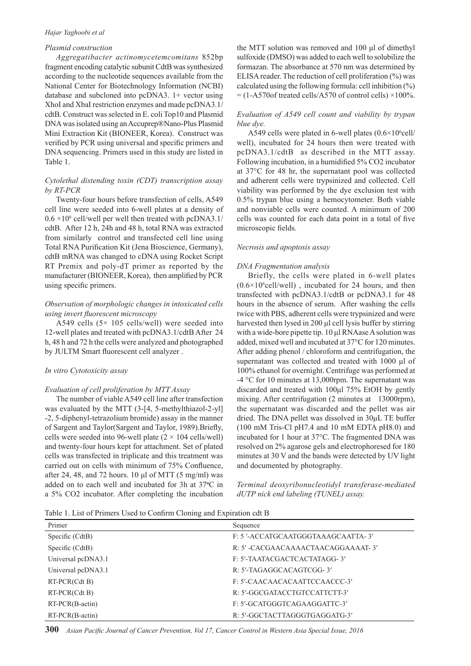#### *Hajar Yaghoobi et al*

#### *Plasmid construction*

*Aggregatibacter actinomycetemcomitans* 852bp fragment encoding catalytic subunit CdtB was synthesized according to the nucleotide sequences available from the National Center for Biotechnology Information (NCBI) database and subcloned into pcDNA3. 1+ vector using XhoI and XbaI restriction enzymes and made pcDNA3.1/ cdtB. Construct was selected in E. coli Top10 and Plasmid DNA was isolated using an Accuprep®Nano-Plus Plasmid Mini Extraction Kit (BIONEER, Korea). Construct was verified by PCR using universal and specific primers and DNA sequencing. Primers used in this study are listed in Table 1.

#### *Cytolethal distending toxin (CDT) transcription assay by RT-PCR*

Twenty-four hours before transfection of cells, A549 cell line were seeded into 6-well plates at a density of  $0.6 \times 10^6$  cell/well per well then treated with pcDNA3.1/ cdtB. After 12 h, 24h and 48 h, total RNA was extracted from similarly control and transfected cell line using Total RNA Purification Kit (Jena Bioscience, Germany), cdtB mRNA was changed to cDNA using Rocket Script RT Premix and poly-dT primer as reported by the manufacturer (BIONEER, Korea), then amplified by PCR using specific primers.

#### *Observation of morphologic changes in intoxicated cells using invert fluorescent microscopy*

A549 cells  $(5 \times 105 \text{ cells/well})$  were seeded into 12-well plates and treated with pcDNA3.1/cdtB After 24 h, 48 h and 72 h the cells were analyzed and photographed by JULTM Smart fluorescent cell analyzer .

#### *In vitro Cytotoxicity assay*

#### *Evaluation of cell proliferation by MTT Assay*

The number of viable A549 cell line after transfection was evaluated by the MTT (3-[4, 5-methylthiazol-2-yl] -2, 5-diphenyl-tetrazolium bromide) assay in the manner of Sargent and Taylor(Sargent and Taylor, 1989).Briefly, cells were seeded into 96-well plate  $(2 \times 104 \text{ cells/well})$ and twenty-four hours kept for attachment. Set of plated cells was transfected in triplicate and this treatment was carried out on cells with minimum of 75% Confluence, after 24, 48, and 72 hours. 10 μl of MTT  $(5 \text{ mg/ml})$  was added on to each well and incubated for 3h at 37**<sup>o</sup>** C in a 5% CO2 incubator. After completing the incubation

the MTT solution was removed and 100 μl of dimethyl sulfoxide (DMSO) was added to each well to solubilize the formazan. The absorbance at 570 nm was determined by ELISA reader. The reduction of cell proliferation (%) was calculated using the following formula: cell inhibition  $(\%)$  $=$  (1-A570of treated cells/A570 of control cells)  $\times$ 100%.

#### *Evaluation of A549 cell count and viability by trypan blue dye.*

A549 cells were plated in 6-well plates  $(0.6 \times 10^{6}$ cell/ well), incubated for 24 hours then were treated with pcDNA3.1/cdtB as described in the MTT assay. Following incubation, in a humidified 5% CO2 incubator at 37°C for 48 hr, the supernatant pool was collected and adherent cells were trypsinized and collected. Cell viability was performed by the dye exclusion test with 0.5% trypan blue using a hemocytometer. Both viable and nonviable cells were counted. A minimum of 200 cells was counted for each data point in a total of five microscopic fields.

#### *Necrosis and apoptosis assay*

#### *DNA Fragmentation analysis*

Briefly, the cells were plated in 6-well plates  $(0.6 \times 10^{6}$ cell/well), incubated for 24 hours, and then transfected with pcDNA3.1/cdtB or pcDNA3.1 for 48 hours in the absence of serum. After washing the cells twice with PBS, adherent cells were trypsinized and were harvested then lysed in 200 μl cell lysis buffer by stirring with a wide-bore pipette tip. 10 μl RNAase A solution was added, mixed well and incubated at 37°C for 120 minutes. After adding phenol / chloroform and centrifugation, the supernatant was collected and treated with 1000 μl of 100% ethanol for overnight. Centrifuge was performed at -4 °C for 10 minutes at 13,000rpm. The supernatant was discarded and treated with 100μl 75% EtOH by gently mixing. After centrifugation (2 minutes at 13000rpm), the supernatant was discarded and the pellet was air dried. The DNA pellet was dissolved in 30μL TE buffer (100 mM Tris-Cl pH7.4 and 10 mM EDTA pH8.0) and incubated for 1 hour at 37°C. The fragmented DNA was resolved on 2% agarose gels and electrophoresed for 180 minutes at 30 V and the bands were detected by UV light and documented by photography.

*Terminal deoxyribonucleotidyl transferase-mediated dUTP nick end labeling (TUNEL) assay.*

Table 1. List of Primers Used to Confirm Cloning and Expiration cdt B

| Primer             | Sequence                          |
|--------------------|-----------------------------------|
| Specific (CdtB)    | F: 5'-ACCATGCAATGGGTAAAGCAATTA-3' |
| Specific (CdtB)    | R: 5'-CACGAACAAAACTAACAGGAAAAT-3' |
| Universal pcDNA3.1 | F: 5'-TAATACGACTCACTATAGG-3'      |
| Universal pcDNA3.1 | R: 5'-TAGAGGCACAGTCGG-3'          |
| $RT-PCR(Cdt B)$    | F: 5'-CAACAACACAATTCCAACCC-3'     |
| $RT-PCR(Cdt B)$    | R: 5'-GGCGATACCTGTCCATTCTT-3'     |
| $RT-PCR(B-actin)$  | F: 5'-GCATGGGTCAGAAGGATTC-3'      |
| $RT-PCR(B-actin)$  | R: 5'-GGCTACTTAGGGTGAGGATG-3'     |

**300** *Asian Pacific Journal of Cancer Prevention, Vol 17, Cancer Control in Western Asia Special Issue, 2016*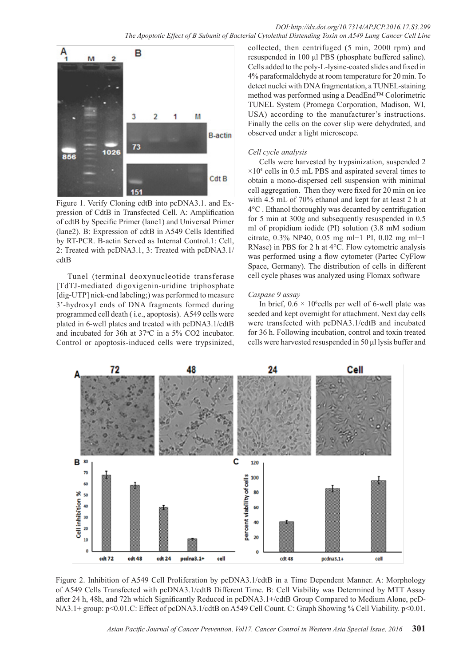

Figure 1. Verify Cloning cdtB into pcDNA3.1. and Expression of CdtB in Transfected Cell. A: Amplification of cdtB by Specific Primer (lane1) and Universal Primer (lane2). B: Expression of cdtB in A549 Cells Identified by RT-PCR. B-actin Served as Internal Control.1: Cell, 2: Treated with pcDNA3.1, 3: Treated with pcDNA3.1/ cdtB

Tunel (terminal deoxynucleotide transferase [TdTJ-mediated digoxigenin-uridine triphosphate [dig-UTP] nick-end labeling;) was performed to measure 3'-hydroxyI ends of DNA fragments formed during programmed cell death ( i.e., apoptosis). A549 cells were plated in 6-well plates and treated with pcDNA3.1/cdtB and incubated for 36h at 37<sup>o</sup>C in a 5% CO2 incubator. Control or apoptosis-induced cells were trypsinized,

collected, then centrifuged (5 min, 2000 rpm) and resuspended in 100 μl PBS (phosphate buffered saline). Cells added to the poly-L-lysine-coated slides and fixed in 4% paraformaldehyde at room temperature for 20 min. To detect nuclei with DNA fragmentation, a TUNEL-staining method was performed using a DeadEnd™ Colorimetric TUNEL System (Promega Corporation, Madison, WI, USA) according to the manufacturer's instructions. Finally the cells on the cover slip were dehydrated, and observed under a light microscope.

#### *Cell cycle analysis*

Cells were harvested by trypsinization, suspended 2  $\times$ 10<sup>4</sup> cells in 0.5 mL PBS and aspirated several times to obtain a mono-dispersed cell suspension with minimal cell aggregation. Then they were fixed for 20 min on ice with 4.5 mL of 70% ethanol and kept for at least 2 h at 4°C . Ethanol thoroughly was decanted by centrifugation for 5 min at 300g and subsequently resuspended in 0.5 ml of propidium iodide (PI) solution (3.8 mM sodium citrate, 0.3% NP40, 0.05 mg ml−1 PI, 0.02 mg ml−1 RNase) in PBS for 2 h at 4°C. Flow cytometric analysis was performed using a flow cytometer (Partec CyFlow Space, Germany). The distribution of cells in different cell cycle phases was analyzed using Flomax software

#### *Caspase 9 assay*

In brief,  $0.6 \times 10^6$ cells per well of 6-well plate was seeded and kept overnight for attachment. Next day cells were transfected with pcDNA3.1/cdtB and incubated for 36 h. Following incubation, control and toxin treated cells were harvested resuspended in 50 μl lysis buffer and



Figure 2. Inhibition of A549 Cell Proliferation by pcDNA3.1/cdtB in a Time Dependent Manner. A: Morphology of A549 Cells Transfected with pcDNA3.1/cdtB Different Time. B: Cell Viability was Determined by MTT Assay after 24 h, 48h, and 72h which Significantly Reduced in pcDNA3.1+/cdtB Group Compared to Medium Alone, pcD-NA3.1+ group: p<0.01.C: Effect of pcDNA3.1/cdtB on A549 Cell Count. C: Graph Showing % Cell Viability. p<0.01.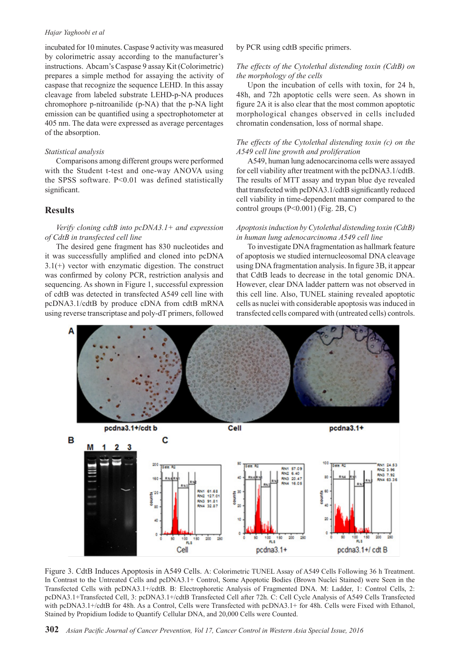#### *Hajar Yaghoobi et al*

incubated for 10 minutes. Caspase 9 activity was measured by colorimetric assay according to the manufacturer's instructions. Abcam's Caspase 9 assay Kit (Colorimetric) prepares a simple method for assaying the activity of caspase that recognize the sequence LEHD. In this assay cleavage from labeled substrate LEHD-p-NA produces chromophore p-nitroanilide (p-NA) that the p-NA light emission can be quantified using a spectrophotometer at 405 nm. The data were expressed as average percentages of the absorption.

#### *Statistical analysis*

Comparisons among different groups were performed with the Student t-test and one-way ANOVA using the SPSS software. P<0.01 was defined statistically significant.

#### **Results**

#### *Verify cloning cdtB into pcDNA3.1+ and expression of CdtB in transfected cell line*

The desired gene fragment has 830 nucleotides and it was successfully amplified and cloned into pcDNA  $3.1(+)$  vector with enzymatic digestion. The construct was confirmed by colony PCR, restriction analysis and sequencing. As shown in Figure 1, successful expression of cdtB was detected in transfected A549 cell line with pcDNA3.1/cdtB by produce cDNA from cdtB mRNA using reverse transcriptase and poly-dT primers, followed

by PCR using cdtB specific primers.

#### *The effects of the Cytolethal distending toxin (CdtB) on the morphology of the cells*

Upon the incubation of cells with toxin, for 24 h, 48h, and 72h apoptotic cells were seen. As shown in figure 2A it is also clear that the most common apoptotic morphological changes observed in cells included chromatin condensation, loss of normal shape.

#### *The effects of the Cytolethal distending toxin (c) on the A549 cell line growth and proliferation*

A549, human lung adenocarcinoma cells were assayed for cell viability after treatment with the pcDNA3.1/cdtB. The results of MTT assay and trypan blue dye revealed that transfected with pcDNA3.1/cdtB significantly reduced cell viability in time-dependent manner compared to the control groups  $(P<0.001)$  (Fig. 2B, C)

#### *Apoptosis induction by Cytolethal distending toxin (CdtB) in human lung adenocarcinoma A549 cell line*

To investigate DNA fragmentation as hallmark feature of apoptosis we studied internucleosomal DNA cleavage using DNA fragmentation analysis. In figure 3B, it appear that CdtB leads to decrease in the total genomic DNA. However, clear DNA ladder pattern was not observed in this cell line. Also, TUNEL staining revealed apoptotic cells as nuclei with considerable apoptosis was induced in transfected cells compared with (untreated cells) controls.



Figure 3. CdtB Induces Apoptosis in A549 Cells. A: Colorimetric TUNEL Assay of A549 Cells Following 36 h Treatment. In Contrast to the Untreated Cells and pcDNA3.1+ Control, Some Apoptotic Bodies (Brown Nuclei Stained) were Seen in the Transfected Cells with pcDNA3.1+/cdtB. B: Electrophoretic Analysis of Fragmented DNA. M: Ladder, 1: Control Cells, 2: pcDNA3.1+Transfected Cell, 3: pcDNA3.1+/cdtB Transfected Cell after 72h. C: Cell Cycle Analysis of A549 Cells Transfected with pcDNA3.1+/cdtB for 48h. As a Control, Cells were Transfected with pcDNA3.1+ for 48h. Cells were Fixed with Ethanol, Stained by Propidium Iodide to Quantify Cellular DNA, and 20,000 Cells were Counted.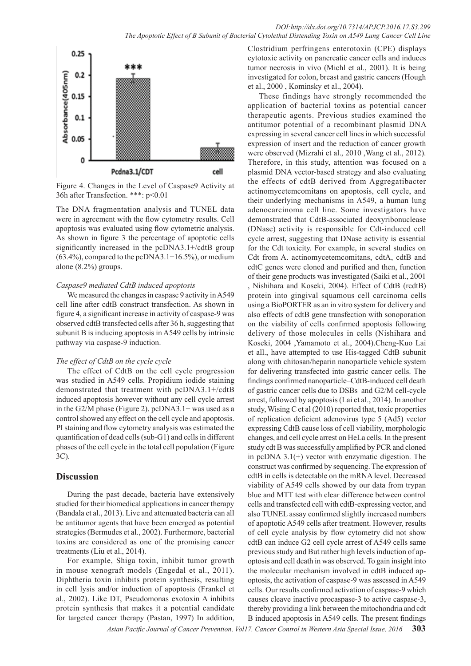

Figure 4. Changes in the Level of Caspase9 Activity at 36h after Transfection. \*\*\*: p<0.01

The DNA fragmentation analysis and TUNEL data were in agreement with the flow cytometry results. Cell apoptosis was evaluated using flow cytometric analysis. As shown in figure 3 the percentage of apoptotic cells significantly increased in the pcDNA3.1+/cdtB group (63.4%), compared to the pcDNA3.1+16.5%), or medium alone (8.2%) groups.

#### *Caspase9 mediated CdtB induced apoptosis*

We measured the changes in caspase 9 activity in A549 cell line after cdtB construct transfection. As shown in figure 4, a significant increase in activity of caspase-9 was observed cdtB transfected cells after 36 h, suggesting that subunit B is inducing apoptosis in A549 cells by intrinsic pathway via caspase-9 induction.

#### *The effect of CdtB on the cycle cycle*

The effect of CdtB on the cell cycle progression was studied in A549 cells. Propidium iodide staining demonstrated that treatment with pcDNA3.1+/cdtB induced apoptosis however without any cell cycle arrest in the G2/M phase (Figure 2). pcDNA3.1+ was used as a control showed any effect on the cell cycle and apoptosis. PI staining and flow cytometry analysis was estimated the quantification of dead cells (sub-G1) and cells in different phases of the cell cycle in the total cell population (Figure 3C).

#### **Discussion**

During the past decade, bacteria have extensively studied for their biomedical applications in cancer therapy (Bandala et al., 2013). Live and attenuated bacteria can all be antitumor agents that have been emerged as potential strategies (Bermudes et al., 2002). Furthermore, bacterial toxins are considered as one of the promising cancer treatments (Liu et al., 2014).

For example, Shiga toxin, inhibit tumor growth in mouse xenograft models (Engedal et al., 2011). Diphtheria toxin inhibits protein synthesis, resulting in cell lysis and/or induction of apoptosis (Frankel et al., 2002). Like DT, Pseudomonas exotoxin A inhibits protein synthesis that makes it a potential candidate for targeted cancer therapy (Pastan, 1997) In addition,

Clostridium perfringens enterotoxin (CPE) displays cytotoxic activity on pancreatic cancer cells and induces tumor necrosis in vivo (Michl et al., 2001). It is being investigated for colon, breast and gastric cancers (Hough et al., 2000 , Kominsky et al., 2004).

These findings have strongly recommended the application of bacterial toxins as potential cancer therapeutic agents. Previous studies examined the antitumor potential of a recombinant plasmid DNA expressing in several cancer cell lines in which successful expression of insert and the reduction of cancer growth were observed (Mizrahi et al., 2010 ,Wang et al., 2012). Therefore, in this study, attention was focused on a plasmid DNA vector-based strategy and also evaluating the effects of cdtB derived from Aggregatibacter actinomycetemcomitans on apoptosis, cell cycle, and their underlying mechanisms in A549, a human lung adenocarcinoma cell line. Some investigators have demonstrated that CdtB-associated deoxyribonuclease (DNase) activity is responsible for Cdt-induced cell cycle arrest, suggesting that DNase activity is essential for the Cdt toxicity. For example, in several studies on Cdt from A. actinomycetemcomitans, cdtA, cdtB and cdtC genes were cloned and purified and then, function of their gene products was investigated (Saiki et al., 2001 , Nishihara and Koseki, 2004). Effect of CdtB (rcdtB) protein into gingival squamous cell carcinoma cells using a BioPORTER as an in vitro system for delivery and also effects of cdtB gene transfection with sonoporation on the viability of cells confirmed apoptosis following delivery of those molecules in cells (Nishihara and Koseki, 2004 ,Yamamoto et al., 2004).Cheng-Kuo Lai et all., have attempted to use His-tagged CdtB subunit along with chitosan/heparin nanoparticle vehicle system for delivering transfected into gastric cancer cells. The findings confirmed nanoparticle–CdtB-induced cell death of gastric cancer cells due to DSBs and G2/M cell-cycle arrest, followed by apoptosis (Lai et al., 2014). In another study, Wising C et al (2010) reported that, toxic properties of replication deficient adenovirus type 5 (Ad5) vector expressing CdtB cause loss of cell viability, morphologic changes, and cell cycle arrest on HeLa cells. In the present study cdt B was successfully amplified by PCR and cloned in pcDNA  $3.1(+)$  vector with enzymatic digestion. The construct was confirmed by sequencing. The expression of cdtB in cells is detectable on the mRNA level. Decreased viability of A549 cells showed by our data from trypan blue and MTT test with clear difference between control cells and transfected cell with cdtB-expressing vector, and also TUNEL assay confirmed slightly increased numbers of apoptotic A549 cells after treatment. However, results of cell cycle analysis by flow cytometry did not show cdtB can induce G2 cell cycle arrest of A549 cells same previous study and But rather high levels induction of apoptosis and cell death in was observed. To gain insight into the molecular mechanism involved in cdtB induced apoptosis, the activation of caspase-9 was assessed in A549 cells. Our results confirmed activation of caspase-9 which causes cleave inactive procaspase-3 to active caspase-3, thereby providing a link between the mitochondria and cdt B induced apoptosis in A549 cells. The present findings

*Asian Pacific Journal of Cancer Prevention, Vol17, Cancer Control in Western Asia Special Issue, 2016* **303**